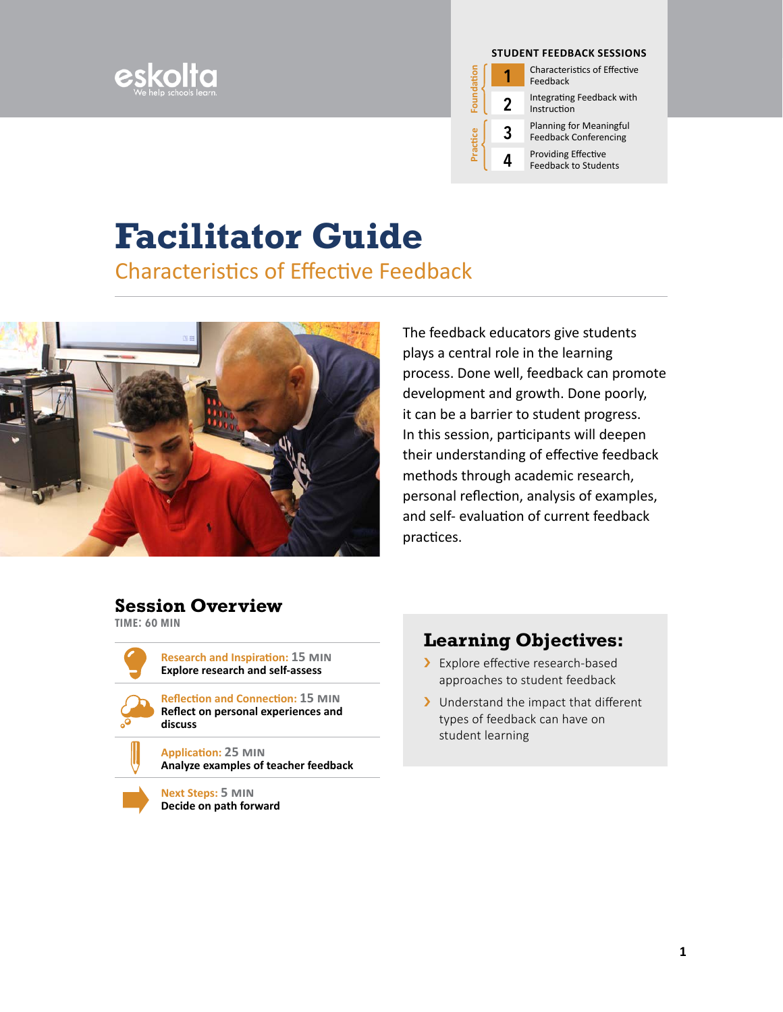



**1** Characteristics of Effective Feedback

**2** Integrating Feedback with Instruction

**3** Planning for Meaningful Feedback Conferencing

**4** Providing Effective<br>Feedback to Students

# **Facilitator Guide**

Characteristics of Effective Feedback



The feedback educators give students plays a central role in the learning process. Done well, feedback can promote development and growth. Done poorly, it can be a barrier to student progress. In this session, participants will deepen their understanding of effective feedback methods through academic research, personal reflection, analysis of examples, and self- evaluation of current feedback practices.

### **Session Overview**

**time: 60 min**

**Research and Inspiration: 15 min Explore research and self-assess**



**Reflection and Connection: 15 min Reflect on personal experiences and discuss**

**Application: 25 min Analyze examples of teacher feedback**



**Next Steps: 5 min Decide on path forward**

### **Learning Objectives:**

- > Explore effective research-based approaches to student feedback
- > Understand the impact that different types of feedback can have on student learning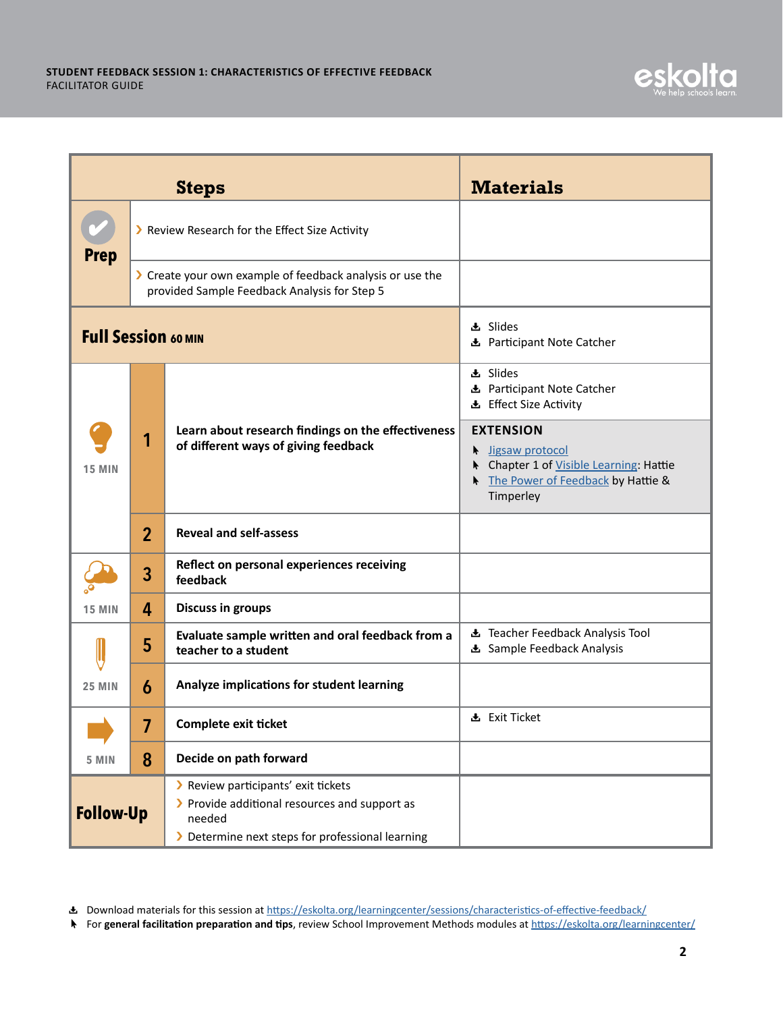|                            |                                                                                                           | <b>Steps</b>                                                                                                                                       | <b>Materials</b>                                                                                                                                               |
|----------------------------|-----------------------------------------------------------------------------------------------------------|----------------------------------------------------------------------------------------------------------------------------------------------------|----------------------------------------------------------------------------------------------------------------------------------------------------------------|
| <b>Prep</b>                | > Review Research for the Effect Size Activity                                                            |                                                                                                                                                    |                                                                                                                                                                |
|                            | > Create your own example of feedback analysis or use the<br>provided Sample Feedback Analysis for Step 5 |                                                                                                                                                    |                                                                                                                                                                |
| <b>Full Session 60 MIN</b> |                                                                                                           |                                                                                                                                                    | <b>上</b> Slides<br>L Participant Note Catcher                                                                                                                  |
| <b>15 MIN</b>              |                                                                                                           | Learn about research findings on the effectiveness<br>of different ways of giving feedback                                                         | <b>上</b> Slides<br><b>L</b> Participant Note Catcher<br>上 Effect Size Activity<br><b>EXTENSION</b><br>ligsaw protocol<br>Chapter 1 of Visible Learning: Hattie |
|                            | $\overline{2}$                                                                                            | <b>Reveal and self-assess</b>                                                                                                                      | The Power of Feedback by Hattie &<br>Timperley                                                                                                                 |
|                            | 3                                                                                                         | Reflect on personal experiences receiving<br>feedback                                                                                              |                                                                                                                                                                |
| <b>15 MIN</b>              | 4                                                                                                         | <b>Discuss in groups</b>                                                                                                                           |                                                                                                                                                                |
|                            | 5                                                                                                         | Evaluate sample written and oral feedback from a<br>teacher to a student                                                                           | L Teacher Feedback Analysis Tool<br><b>E</b> Sample Feedback Analysis                                                                                          |
| <b>25 MIN</b>              | 6                                                                                                         | Analyze implications for student learning                                                                                                          |                                                                                                                                                                |
|                            | 7                                                                                                         | <b>Complete exit ticket</b>                                                                                                                        | 上 Exit Ticket                                                                                                                                                  |
| 5 MIN                      | 8                                                                                                         | Decide on path forward                                                                                                                             |                                                                                                                                                                |
| <b>Follow-Up</b>           |                                                                                                           | > Review participants' exit tickets<br>> Provide additional resources and support as<br>needed<br>> Determine next steps for professional learning |                                                                                                                                                                |

**上** Download materials for this session at [https://eskolta.org/learningcenter/sessions/characteristics-of-effective-feedback/](http://eskolta.org/learningcenter/sessions/characteristics-of-effective-feedback/ )

à For **general facilitation preparation and tips**, review School Improvement Methods modules at [https://eskolta.org/learningce](http://eskolta.org/toolkit/)nter/

<u>lta</u>

esko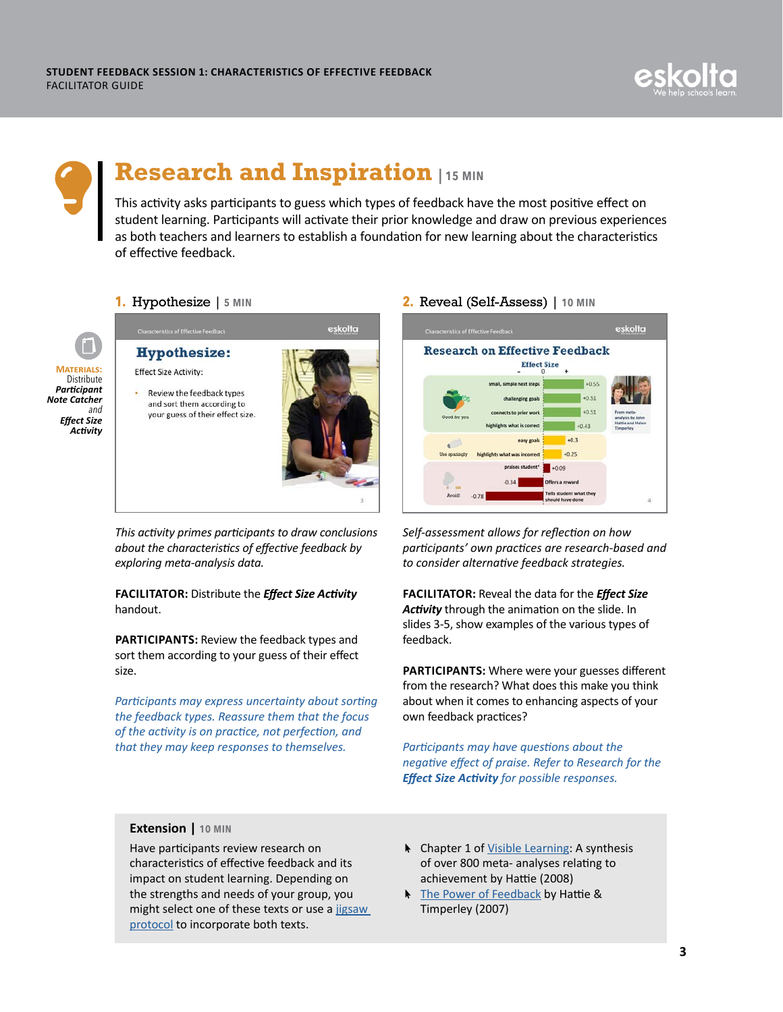



## **Research and Inspiration | 15 min**

This activity asks participants to guess which types of feedback have the most positive effect on student learning. Participants will activate their prior knowledge and draw on previous experiences as both teachers and learners to establish a foundation for new learning about the characteristics of effective feedback.



### **1.** Hypothesize | **5 min**

**Hypothesize: Effect Size Activity: Review the feedback types** 

and sort them according to your guess of their effect size.



*This activity primes participants to draw conclusions about the characteristics of effective feedback by exploring meta-analysis data.*

### **FACILITATOR:** Distribute the *Effect Size Activity* handout.

**PARTICIPANTS:** Review the feedback types and sort them according to your guess of their effect size.

*Participants may express uncertainty about sorting the feedback types. Reassure them that the focus of the activity is on practice, not perfection, and that they may keep responses to themselves.*

#### **2.** Reveal (Self-Assess) | **10 min**



*Self-assessment allows for reflection on how participants' own practices are research-based and to consider alternative feedback strategies.*

**FACILITATOR:** Reveal the data for the *Effect Size Activity* through the animation on the slide. In slides 3-5, show examples of the various types of feedback.

**PARTICIPANTS:** Where were your guesses different from the research? What does this make you think about when it comes to enhancing aspects of your own feedback practices?

*Participants may have questions about the negative effect of praise. Refer to Research for the Effect Size Activity for possible responses.*

#### **Extension | 10 min**

Have participants review research on characteristics of effective feedback and its impact on student learning. Depending on the strengths and needs of your group, you might select one of these texts or use a [jigsaw](http://www.theteachertoolkit.com/index.php/tool/jigsaw) protocol to incorporate both texts.

- **A** Chapter 1 of [Visible Learning](https://www.readpbn.com/pdf/Visible-Learning-A-Synthesis-of-Over-800-Meta-Analyses-Relating-to-Achievement-Sample.pdf): A synthesis of over 800 meta- analyses relating to achievement by Hattie (2008)
- **A** [The Power of Feedback](http://www.columbia.edu/~mvp19/ETF/Feedback.pdf) by Hattie & Timperley (2007)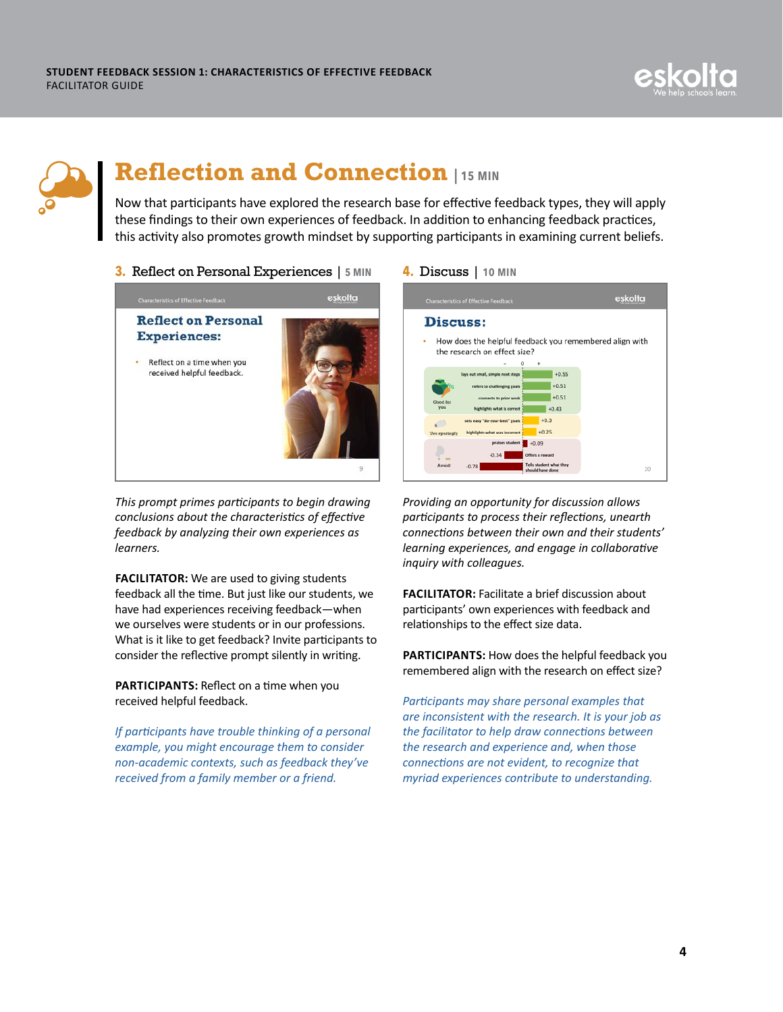



### **Reflection and Connection | 15 min**

Now that participants have explored the research base for effective feedback types, they will apply these findings to their own experiences of feedback. In addition to enhancing feedback practices, this activity also promotes growth mindset by supporting participants in examining current beliefs.

**3.** Reflect on Personal Experiences | **5 min**



*This prompt primes participants to begin drawing conclusions about the characteristics of effective feedback by analyzing their own experiences as learners.*

**FACILITATOR:** We are used to giving students feedback all the time. But just like our students, we have had experiences receiving feedback—when we ourselves were students or in our professions. What is it like to get feedback? Invite participants to consider the reflective prompt silently in writing.

**PARTICIPANTS:** Reflect on a time when you received helpful feedback.

*If participants have trouble thinking of a personal example, you might encourage them to consider non-academic contexts, such as feedback they've received from a family member or a friend.*





*Providing an opportunity for discussion allows participants to process their reflections, unearth connections between their own and their students' learning experiences, and engage in collaborative inquiry with colleagues.*

**FACILITATOR:** Facilitate a brief discussion about participants' own experiences with feedback and relationships to the effect size data.

**PARTICIPANTS:** How does the helpful feedback you remembered align with the research on effect size?

*Participants may share personal examples that are inconsistent with the research. It is your job as the facilitator to help draw connections between the research and experience and, when those connections are not evident, to recognize that myriad experiences contribute to understanding.*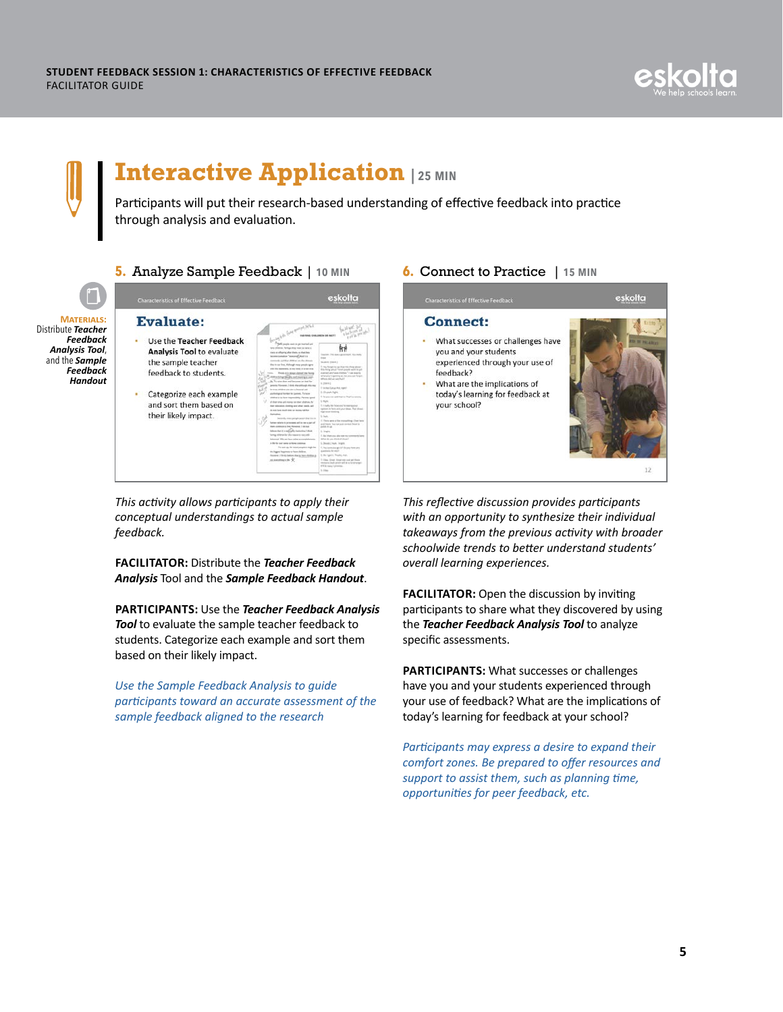



### **Interactive Application | 25 min**

Participants will put their research-based understanding of effective feedback into practice through analysis and evaluation.



### **5.** Analyze Sample Feedback | **10 min**



· Categorize each exar and sort them based their likely impact.

|               | any bits Gary morph Stand                                                                                                                                                                                                                                                                                                                                                                     |                                                                                                                                                                                                                                                                                                              |
|---------------|-----------------------------------------------------------------------------------------------------------------------------------------------------------------------------------------------------------------------------------------------------------------------------------------------------------------------------------------------------------------------------------------------|--------------------------------------------------------------------------------------------------------------------------------------------------------------------------------------------------------------------------------------------------------------------------------------------------------------|
| dback<br>uate | the wheel in the financial and<br>bee ditibus. Felige day vast at beet a<br>static or officering after theirs, so that their<br>besten tommur "missional" And h is<br>with and that children are the often<br>Max in our first, Although more progris agree.<br>with this departure, by the most it is not drug.<br>in's almost claimed size bests<br><b>Sicolna and</b>                      | EMATERIA CIVILIZINESA UN FACITTI<br>toucher. This was a good more from main<br><b>State</b><br>Suspect Hotel 2<br>1. You forget to rate than this thing about<br>this fibre should fill and people world by put<br>studied and heat of dilegs." I see mention<br>what you're getting in that mix box forgot. |
| nple          | Mr. To raise does wall becomes on that for<br>perents. Plannese, I drark that arthough this you.<br>lay time, children are also a feweral and<br>atelled grat looks be juried. To hair<br>distant is to have required that Parameters'<br>all-thear since and money on thus children, he<br>that solutionists, closing and other mode, and<br>the main blank mouth comes on incomes half that | Mineria (Ed aux aux Phalif<br>ic (times)<br>To be than Custivan Ave. rapid.<br>In Gloratedo, Highis<br>7. Se was can addition to The Countered<br><b>U.Sald</b><br>2. I could have been used to seeing also<br>eachers in hard and your litings. Mail divises<br>high latest domina.                         |
|               | <b>Ballydon</b><br>Seconds, meet people according to to in-<br>The Facts is an exit from an experimental and contact contact<br>then continue to line. However, I do not<br>Salicon that it is nationally instituting 3 Mick<br>lasting children for shis risease is new old-<br>labored 15's on hew other accomplishers:<br>in the last cash surrou on forms common                          | <b>Scientists</b><br>IT There are not line exceedings. Our have<br>and finish. Now you push contrast Sheps be<br><b>ANTIFACTURE</b><br>In Integrity.<br>7. And then you also see my comments hand.<br>What the sales shock of change?<br>L. Beenti / Nun. Inranti                                            |
|               | The party car. The most awards it make by<br>the Regard Teasurests to have shall set.<br>Handley, I furnity before that in have shirtings of<br>seasongan Y                                                                                                                                                                                                                                   | 7. Now come what gets for the uses from area<br>contain for early<br>E. Hey I gunt 41. Thursday, must<br>7. Filling, Street. Street side look and Shares<br>removed ingels and for which a newspaper<br>ITE for mean 7 pinnings.<br>S. Show                                                                  |

*This activity allows participants to apply their conceptual understandings to actual sample feedback.*

**FACILITATOR:** Distribute the *Teacher Feedback Analysis* Tool and the *Sample Feedback Handout*.

**PARTICIPANTS:** Use the *Teacher Feedback Analysis Tool* to evaluate the sample teacher feedback to students. Categorize each example and sort them based on their likely impact.

*Use the Sample Feedback Analysis to guide participants toward an accurate assessment of the sample feedback aligned to the research*



*This reflective discussion provides participants with an opportunity to synthesize their individual takeaways from the previous activity with broader schoolwide trends to better understand students' overall learning experiences.*

**FACILITATOR:** Open the discussion by inviting participants to share what they discovered by using the *Teacher Feedback Analysis Tool* to analyze specific assessments.

**PARTICIPANTS:** What successes or challenges have you and your students experienced through your use of feedback? What are the implications of today's learning for feedback at your school?

*Participants may express a desire to expand their comfort zones. Be prepared to offer resources and support to assist them, such as planning time, opportunities for peer feedback, etc.*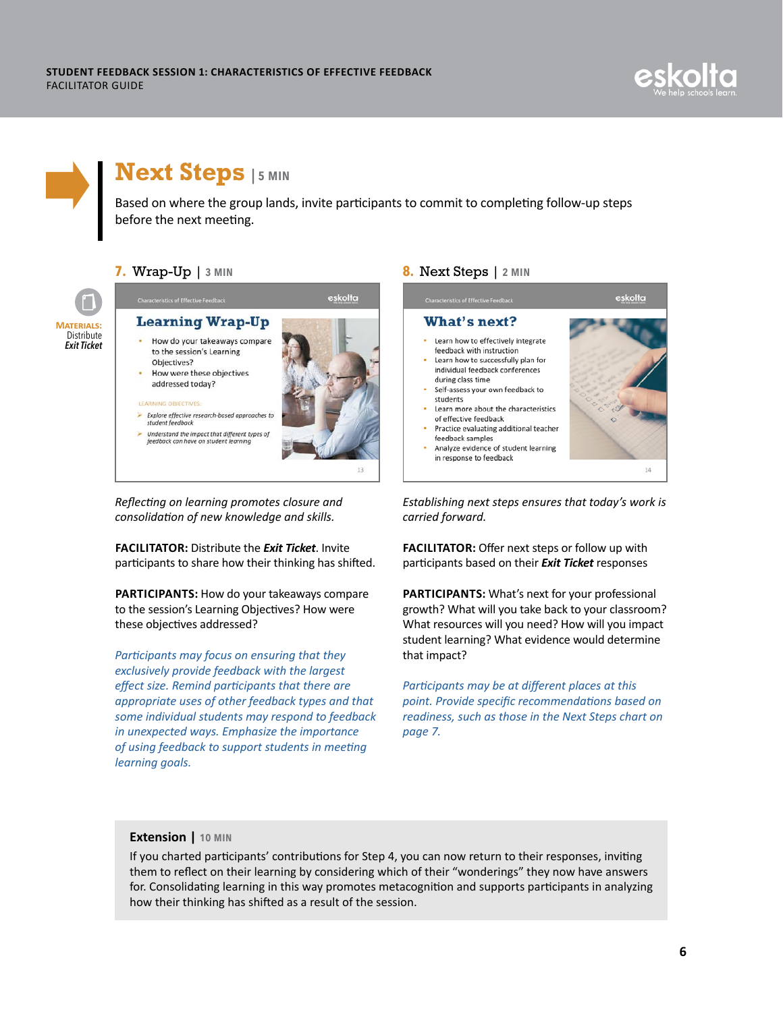



### **Next Steps | 5 min**

Based on where the group lands, invite participants to commit to completing follow-up steps before the next meeting.



#### **7.** Wrap-Up | **3 min**



### How were these objectives addressed today?

feedback can have on student learning

#### **LEARNING OBJECTIVES**



eskolta

*Reflecting on learning promotes closure and consolidation of new knowledge and skills.*

**FACILITATOR:** Distribute the *Exit Ticket*. Invite participants to share how their thinking has shifted.

**PARTICIPANTS:** How do your takeaways compare to the session's Learning Objectives? How were these objectives addressed?

*Participants may focus on ensuring that they exclusively provide feedback with the largest effect size. Remind participants that there are appropriate uses of other feedback types and that some individual students may respond to feedback in unexpected ways. Emphasize the importance of using feedback to support students in meeting learning goals.*

#### **8.** Next Steps | **2 min**



*Establishing next steps ensures that today's work is carried forward.* 

**FACILITATOR:** Offer next steps or follow up with participants based on their *Exit Ticket* responses

**PARTICIPANTS:** What's next for your professional growth? What will you take back to your classroom? What resources will you need? How will you impact student learning? What evidence would determine that impact?

*Participants may be at different places at this point. Provide specific recommendations based on readiness, such as those in the Next Steps chart on page 7.*

#### **Extension | 10 min**

If you charted participants' contributions for Step 4, you can now return to their responses, inviting them to reflect on their learning by considering which of their "wonderings" they now have answers for. Consolidating learning in this way promotes metacognition and supports participants in analyzing how their thinking has shifted as a result of the session.